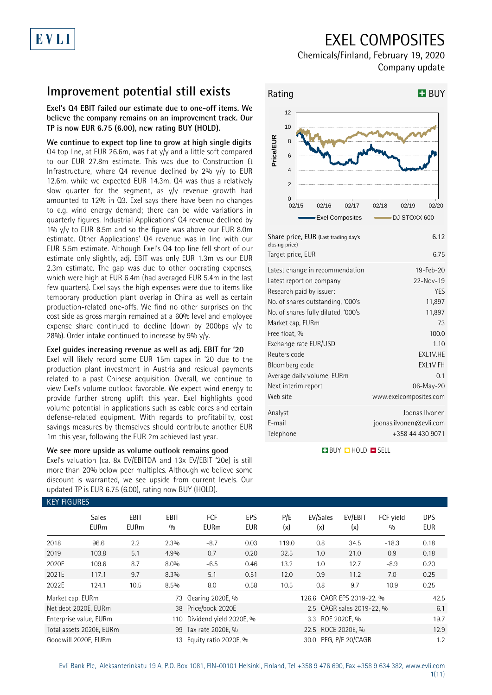## EXEL COMPOSITES

Chemicals/Finland, February 19, 2020 Company update

## **Improvement potential still exists**

**Exel's Q4 EBIT failed our estimate due to one-off items. We believe the company remains on an improvement track. Our TP is now EUR 6.75 (6.00), new rating BUY (HOLD).** 

**We continue to expect top line to grow at high single digits** Q4 top line, at EUR 26.6m, was flat y/y and a little soft compared to our EUR 27.8m estimate. This was due to Construction & Infrastructure, where Q4 revenue declined by 2% y/y to EUR 12.6m, while we expected EUR 14.3m. Q4 was thus a relatively slow quarter for the segment, as y/y revenue growth had amounted to 12% in Q3. Exel says there have been no changes to e.g. wind energy demand; there can be wide variations in quarterly figures. Industrial Applications' Q4 revenue declined by 1% y/y to EUR 8.5m and so the figure was above our EUR 8.0m estimate. Other Applications' Q4 revenue was in line with our EUR 5.5m estimate. Although Exel's Q4 top line fell short of our estimate only slightly, adj. EBIT was only EUR 1.3m vs our EUR 2.3m estimate. The gap was due to other operating expenses, which were high at EUR 6.4m (had averaged EUR 5.4m in the last few quarters). Exel says the high expenses were due to items like temporary production plant overlap in China as well as certain production-related one-offs. We find no other surprises on the cost side as gross margin remained at a 60% level and employee expense share continued to decline (down by 200bps y/y to 28%). Order intake continued to increase by 9% y/y.

### **Exel guides increasing revenue as well as adj. EBIT for '20**

Exel will likely record some EUR 15m capex in '20 due to the production plant investment in Austria and residual payments related to a past Chinese acquisition. Overall, we continue to view Exel's volume outlook favorable. We expect wind energy to provide further strong uplift this year. Exel highlights good volume potential in applications such as cable cores and certain defense-related equipment. With regards to profitability, cost savings measures by themselves should contribute another EUR 1m this year, following the EUR 2m achieved last year.

### **We see more upside as volume outlook remains good**

Exel's valuation (ca. 8x EV/EBITDA and 13x EV/EBIT '20e) is still more than 20% below peer multiples. Although we believe some discount is warranted, we see upside from current levels. Our updated TP is EUR 6.75 (6.00), rating now BUY (HOLD).



| rand price, LON (Last trading days<br>closing price) | <b>U.IZ</b>             |
|------------------------------------------------------|-------------------------|
| Target price, EUR                                    | 6.75                    |
| Latest change in recommendation                      | 19-Feb-20               |
| Latest report on company                             | $22 - Nov-19$           |
| Research paid by issuer:                             | <b>YES</b>              |
| No. of shares outstanding, '000's                    | 11,897                  |
| No. of shares fully diluted, '000's                  | 11,897                  |
| Market cap, EURm                                     | 73                      |
| Free float, %                                        | 100.0                   |
| Exchange rate EUR/USD                                | 1.10                    |
| Reuters code                                         | EXL1V.HE                |
| Bloomberg code                                       | <b>EXL1V FH</b>         |
| Average daily volume, EURm                           | 0.1                     |
| Next interim report                                  | 06-May-20               |
| Web site                                             | www.exelcomposites.com  |
| Analyst                                              | Joonas Ilvonen          |
| E-mail                                               | joonas.ilvonen@evli.com |
| Telephone                                            | +358 44 430 9071        |
|                                                      |                         |

**BUY QHOLD SELL** 

| KEY FIGURES          |                             |                     |                    |                           |                   |            |                           |                           |                  |                          |
|----------------------|-----------------------------|---------------------|--------------------|---------------------------|-------------------|------------|---------------------------|---------------------------|------------------|--------------------------|
|                      | <b>Sales</b><br><b>EURm</b> | EBIT<br><b>EURm</b> | <b>EBIT</b><br>0/0 | <b>FCF</b><br><b>EURm</b> | EPS<br><b>EUR</b> | P/E<br>(x) | EV/Sales<br>(x)           | EV/EBIT<br>(x)            | FCF yield<br>0/0 | <b>DPS</b><br><b>EUR</b> |
| 2018                 | 96.6                        | 2.2                 | 2.3%               | $-8.7$                    | 0.03              | 119.0      | 0.8                       | 34.5                      | $-18.3$          | 0.18                     |
| 2019                 | 103.8                       | 5.1                 | 4.9%               | 0.7                       | 0.20              | 32.5       | 1.0                       | 21.0                      | 0.9              | 0.18                     |
| 2020E                | 109.6                       | 8.7                 | 8.0%               | $-6.5$                    | 0.46              | 13.2       | 1.0                       | 12.7                      | $-8.9$           | 0.20                     |
| 2021E                | 117.1                       | 9.7                 | 8.3%               | 5.1                       | 0.51              | 12.0       | 0.9                       | 11.2                      | 7.0              | 0.25                     |
| 2022E                | 124.1                       | 10.5                | 8.5%               | 8.0                       | 0.58              | 10.5       | 0.8                       | 9.7                       | 10.9             | 0.25                     |
| Market cap, EURm     |                             |                     | 73                 | Gearing 2020E, %          |                   |            | 126.6 CAGR EPS 2019-22, % |                           |                  | 42.5                     |
| Net debt 2020E, EURm |                             |                     |                    | 38 Price/book 2020E       |                   |            |                           | 2.5 CAGR sales 2019-22, % |                  | 6.1                      |
|                      | Enterprise value, EURm      |                     | 110                | Dividend yield 2020E, %   |                   |            | 3.3                       | ROE 2020E, %              |                  | 19.7                     |
|                      | Total assets 2020E, EURm    |                     |                    | 99 Tax rate 2020E, %      |                   |            | 22.5 ROCE 2020E. %        |                           |                  | 12.9                     |
| Goodwill 2020E. EURm |                             |                     | 13                 | Equity ratio 2020E, %     |                   |            | 30.0 PEG. P/E 20/CAGR     |                           |                  | 1.2                      |

### KEY FIGURES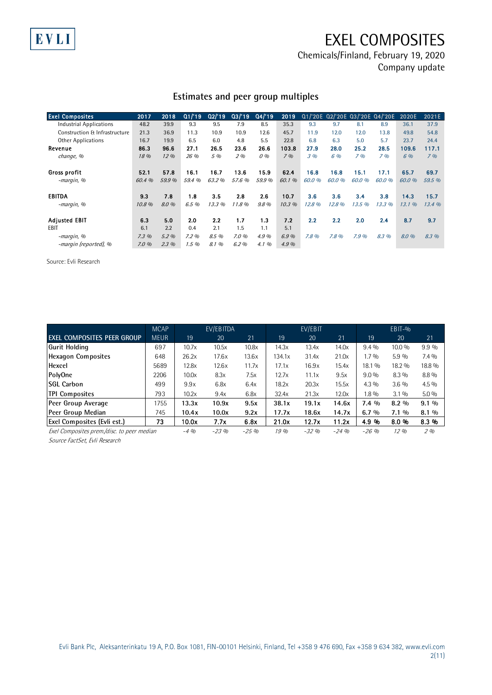EXEL COMPOSITES

Chemicals/Finland, February 19, 2020 Company update

## **Estimates and peer group multiples**

| <b>Exel Composites</b>         | 2017   | 2018    | Q1/19  | Q2/19 | Q3/19  | Q4/19   | 2019  |       |        |        | Q1/'20E Q2/'20E Q3/'20E Q4/'20E | 2020E  | 2021E  |
|--------------------------------|--------|---------|--------|-------|--------|---------|-------|-------|--------|--------|---------------------------------|--------|--------|
| <b>Industrial Applications</b> | 48.2   | 39.9    | 9.3    | 9.5   | 7.9    | 8.5     | 35.3  | 9.3   | 9.7    | 8.1    | 8.9                             | 36.1   | 37.9   |
| Construction & Infrastructure  | 21.3   | 36.9    | 11.3   | 10.9  | 10.9   | 12.6    | 45.7  | 11.9  | 12.0   | 12.0   | 13.8                            | 49.8   | 54.8   |
| <b>Other Applications</b>      | 16.7   | 19.9    | 6.5    | 6.0   | 4.8    | 5.5     | 22.8  | 6.8   | 6.3    | 5.0    | 5.7                             | 23.7   | 24.4   |
| Revenue                        | 86.3   | 96.6    | 27.1   | 26.5  | 23.6   | 26.6    | 103.8 | 27.9  | 28.0   | 25.2   | 28.5                            | 109.6  | 117.1  |
| change, %                      | 18 %   | 12%     | 26 %   | 5 %   | 2%     | 0%      | 7%    | 3%    | 6 %    | 7%     | 7%                              | 6 %    | 7%     |
| Gross profit                   | 52.1   | 578     | 16.1   | 16.7  | 136    | 15.9    | 624   | 16.8  | 16.8   | 15.1   | 17.1                            | 65.7   | 69.7   |
| -margin, %                     | 60.4 % | 59.9 %  | 59.4 % | 63.2% | 57.6 % | 59.9%   | 60.1% | 60.0% | 60.0%  | 60.0 % | 60.0%                           | 60.0 % | 59.5 % |
| EBITDA                         | 9.3    | 7.8     | 1.8    | 3.5   | 2.8    | 2.6     | 10.7  | 3.6   | 3.6    | 3.4    | 3.8                             | 14.3   | 15.7   |
| -margin, %                     | 10.8%  | 8.0 %   | 6.5 %  | 13.3% | 11.8%  | $9.8\%$ | 10.3% | 12.8% | 12.8 % | 13.5%  | 13.3%                           | 13.1%  | 13.4%  |
| <b>Adjusted EBIT</b>           | 6.3    | 5.0     | 2.0    | 2.2   | 1.7    | 1.3     | 7.2   | 2.2   | 2.2    | 2.0    | 2.4                             | 8.7    | 9.7    |
| EBIT                           | 6.1    | 2.2     | 0.4    | 2.1   | 1.5    | 1.1     | 5.1   |       |        |        |                                 |        |        |
| -margin, %                     | 7.3%   | 5.2%    | 7.2%   | 8.5 % | 7.0%   | 4.9%    | 6.9%  | 7.8%  | 7.8%   | 7.9%   | 8.3 %                           | 8.0 %  | 8.3 %  |
| -margin (reported), %          | 7.0%   | $2.3\%$ | 1.5%   | 8.1 % | 6.2%   | 4.1%    | 4.9%  |       |        |        |                                 |        |        |

Source: Evli Research

EVLI

|                                            | <b>MCAP</b> | EV/EBITDA |        |        |        | EV/EBIT |          |          | $EB$ IT-% |         |  |
|--------------------------------------------|-------------|-----------|--------|--------|--------|---------|----------|----------|-----------|---------|--|
| <b>EXEL COMPOSITES PEER GROUP</b>          | <b>MEUR</b> | 19        | 20     | 21     | 19     | 20      | 21       | 19       | 20        | 21      |  |
| Gurit Holding                              | 697         | 10.7x     | 10.5x  | 10.8x  | 14.3x  | 13.4x   | 14.0x    | $9.4\%$  | 10.0 %    | $9.9\%$ |  |
| <b>Hexagon Composites</b>                  | 648         | 26.2x     | 17.6x  | 13.6x  | 134.1x | 31.4x   | 21.0x    | $1.7\%$  | 5.9 %     | $7.4\%$ |  |
| Hexcel                                     | 5689        | 12.8x     | 12.6x  | 11.7x  | 17.1x  | 16.9x   | 15.4x    | 18.1 %   | 18.2 %    | 18.8 %  |  |
| PolyOne                                    | 2206        | 10.0x     | 8.3x   | 7.5x   | 12.7x  | 11.1x   | 9.5x     | $9.0\%$  | 8.3 %     | 8.8 %   |  |
| <b>SGL Carbon</b>                          | 499         | 9.9x      | 6.8x   | 6.4x   | 18.2x  | 20.3x   | 15.5x    | $4.3\%$  | 3.6%      | $4.5\%$ |  |
| <b>TPI Composites</b>                      | 793         | 10.2x     | 9.4x   | 6.8x   | 32.4x  | 21.3x   | 12.0x    | $1.8\%$  | $3.1\%$   | $5.0\%$ |  |
| Peer Group Average                         | 1755        | 13.3x     | 10.9x  | 9.5x   | 38.1x  | 19.1x   | 14.6x    | $7.4\%$  | $8.2\%$   | $9.1\%$ |  |
| Peer Group Median                          | 745         | 10.4x     | 10.0x  | 9.2x   | 17.7x  | 18.6x   | 14.7x    | 6.7%     | $7.1\%$   | $8.1\%$ |  |
| <b>Exel Composites (Evli est.)</b>         | 73          | 10.0x     | 7.7x   | 6.8x   | 21.0x  | 12.7x   | 11.2x    | 4.9 %    | 8.0%      | 8.3 %   |  |
| Exel Composites prem./disc. to peer median |             | $-4%$     | $-23%$ | $-25%$ | 19%    | $-32%$  | $-24.9h$ | $-26.96$ | 12%       | 2%      |  |

Source FactSet, Evli Research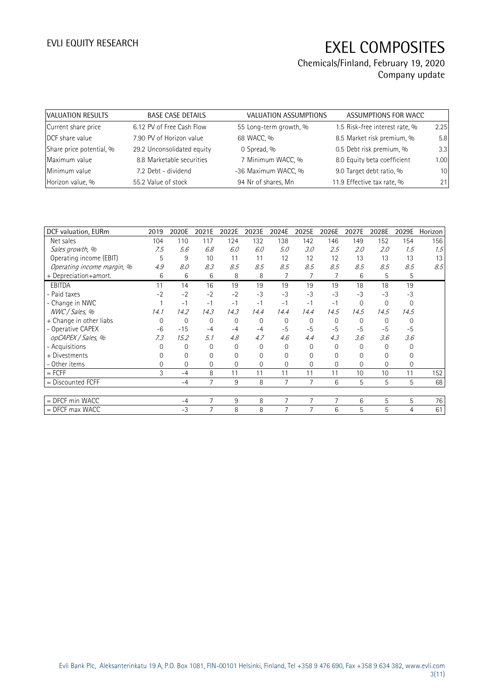| VALUATION RESULTS        | <b>BASE CASE DETAILS</b>   | VALUATION ASSUMPTIONS  | ASSUMPTIONS FOR WACC           |      |
|--------------------------|----------------------------|------------------------|--------------------------------|------|
| Current share price      | 6.12 PV of Free Cash Flow  | 55 Long-term growth, % | 1.5 Risk-free interest rate, % | 2.25 |
| DCF share value          | 7.90 PV of Horizon value   | 68 WACC, %             | 8.5 Market risk premium, %     | 5.8  |
| Share price potential, % | 29.2 Unconsolidated equity | 0 Spread, %            | 0.5 Debt risk premium, %       | 3.3  |
| Maximum value            | 8.8 Marketable securities  | 7 Minimum WACC, %      | 8.0 Equity beta coefficient    | 1.00 |
| Minimum value            | 7.2 Debt - dividend        | -36 Maximum WACC, %    | 9.0 Target debt ratio, %       | 10   |
| Horizon value, %         | 55.2 Value of stock        | 94 Nr of shares, Mn    | 11.9 Effective tax rate, %     | 21   |

| DCF valuation, EURm        | 2019     | 2020E        | 2021E    | 2022E    | 2023E        | 2024E    | 2025E          | 2026E       | 2027E    | 2028E       | 2029E        | Horizon |
|----------------------------|----------|--------------|----------|----------|--------------|----------|----------------|-------------|----------|-------------|--------------|---------|
| Net sales                  | 104      | 110          | 117      | 124      | 132          | 138      | 142            | 146         | 149      | 152         | 154          | 156     |
| Sales growth, %            | 7.5      | 5.6          | 6.8      | 6.0      | 6.0          | 5.0      | 3.0            | 2.5         | 2.0      | 2.0         | 1.5          | 1.5     |
| Operating income (EBIT)    | 5        | 9            | 10       | 11       | 11           | 12       | 12             | 12          | 13       | 13          | 13           | 13      |
| Operating income margin, % | 4.9      | 8.0          | 8.3      | 8.5      | 8.5          | 8.5      | 8.5            | 8.5         | 8.5      | 8.5         | 8.5          | 8.5     |
| + Depreciation+amort.      | 6        | 6            | 6        | 8        | 8            |          | 7              | 7           | 6        | 5           | 5            |         |
| <b>EBITDA</b>              | 11       | 14           | 16       | 19       | 19           | 19       | 19             | 19          | 18       | 18          | 19           |         |
| - Paid taxes               | $-2$     | $-2$         | $-2$     | $-2$     | $-3$         | $-3$     | $-3$           | $-3$        | $-3$     | $-3$        | $-3$         |         |
| - Change in NWC            |          | $-1$         | $-1$     | $-1$     | $-1$         | $-1$     | $-1$           | $-1$        | $\Omega$ | $\mathbf 0$ | $\mathbf{0}$ |         |
| NWC / Sales, %             | 14.1     | 14.2         | 14.3     | 14.3     | 14.4         | 14.4     | 14.4           | 14.5        | 14.5     | 14.5        | 14.5         |         |
| + Change in other liabs    | $\Omega$ | $\mathbf 0$  | 0        | 0        | $\mathbf 0$  | 0        | $\mathbf 0$    | 0           | $\Omega$ | $\Omega$    | $\Omega$     |         |
| - Operative CAPEX          | $-6$     | $-15$        | $-4$     | $-4$     | $-4$         | $-5$     | $-5$           | $-5$        | $-5$     | $-5$        | $-5$         |         |
| opCAPEX / Sales, %         | 7.3      | 15.2         | 5.1      | 4.8      | 4.7          | 4.6      | 4.4            | 4.3         | 3.6      | 3.6         | 3.6          |         |
| - Acquisitions             | $\Omega$ | $\mathbf{0}$ | $\Omega$ | $\Omega$ | $\mathbf{0}$ | $\Omega$ | $\Omega$       | $\mathbf 0$ | $\Omega$ | $\Omega$    | $\Omega$     |         |
| + Divestments              | $\Omega$ | 0            | 0        | 0        | 0            | 0        | $\Omega$       | 0           | 0        | 0           | 0            |         |
| - Other items              | $\Omega$ | $\mathbf{0}$ | $\Omega$ | 0        | $\mathbf{0}$ | $\Omega$ | 0              | 0           | $\Omega$ | 0           | $\mathbf{0}$ |         |
| $=$ FCFF                   | 3        | $-4$         | 8        | 11       | 11           | 11       | 11             | 11          | 10       | 10          | 11           | 152     |
| $=$ Discounted FCFF        |          | $-4$         | 7        | 9        | 8            | 7        | 7              | 6           | 5        | 5           | 5            | 68      |
|                            |          |              |          |          |              |          |                |             |          |             |              |         |
| = DFCF min WACC            |          | $-4$         | 7        | 9        | 8            | 7        | 7              | 7           | 6        | 5           | 5            | 76      |
| $=$ DFCF max WACC          |          | $-3$         | 7        | 8        | 8            | 7        | $\overline{7}$ | 6           | 5        | 5           | 4            | 61      |
|                            |          |              |          |          |              |          |                |             |          |             |              |         |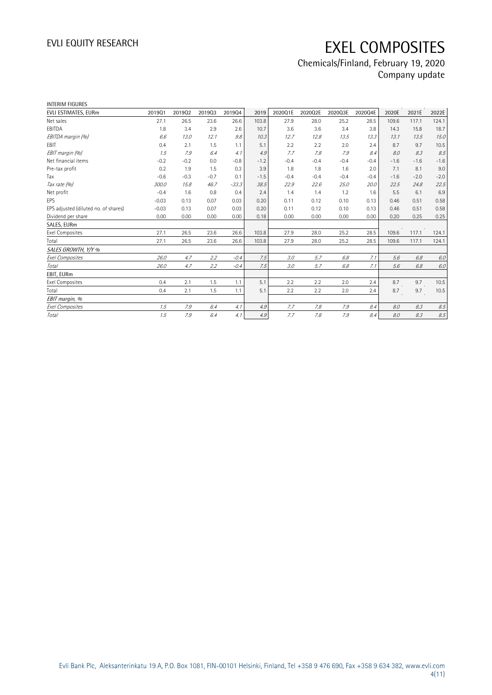| <b>INTERIM FIGURES</b>               |         |        |        |         |        |         |         |         |         |        |        |         |
|--------------------------------------|---------|--------|--------|---------|--------|---------|---------|---------|---------|--------|--------|---------|
| EVLI ESTIMATES, EURm                 | 201901  | 201902 | 201903 | 201904  | 2019   | 2020Q1E | 2020Q2E | 2020Q3E | 2020Q4E | 2020E  | 2021E  | 2022E   |
| Net sales                            | 27.1    | 26.5   | 23.6   | 26.6    | 103.8  | 27.9    | 28.0    | 25.2    | 28.5    | 109.6  | 117.1  | 124.1   |
| EBITDA                               | 1.8     | 3.4    | 2.9    | 2.6     | 10.7   | 3.6     | 3.6     | 3.4     | 3.8     | 14.3   | 15.8   | 18.7    |
| EBITDA margin (%)                    | 6.6     | 13.0   | 12.1   | 9.8     | 10.3   | 12.7    | 12.8    | 13.5    | 13.3    | 13.1   | 13.5   | 15.0    |
| EBIT                                 | 0.4     | 2.1    | 1.5    | 1.1     | 5.1    | 2.2     | 2.2     | 2.0     | 2.4     | 8.7    | 9.7    | 10.5    |
| EBIT margin (%)                      | 1.5     | 7.9    | 6.4    | 4.1     | 4.9    | 7.7     | 7.8     | 7.9     | 8.4     | 8.0    | 8.3    | 8.5     |
| Net financial items                  | $-0.2$  | $-0.2$ | 0.0    | $-0.8$  | $-1.2$ | $-0.4$  | $-0.4$  | $-0.4$  | $-0.4$  | $-1.6$ | $-1.6$ | $-1.6$  |
| Pre-tax profit                       | 0.2     | 1.9    | 1.5    | 0.3     | 3.9    | 1.8     | 1.8     | 1.6     | 2.0     | 7.1    | 8.1    | 9.0     |
| Tax                                  | $-0.6$  | $-0.3$ | $-0.7$ | 0.1     | $-1.5$ | $-0.4$  | $-0.4$  | $-0.4$  | $-0.4$  | $-1.6$ | $-2.0$ | $-2.0$  |
| Tax rate (%)                         | 300.0   | 15.8   | 46.7   | $-33.3$ | 38.5   | 22.9    | 22.6    | 25.0    | 20.0    | 22.5   | 24.8   | 22.5    |
| Net profit                           | $-0.4$  | 1.6    | 0.8    | 0.4     | 2.4    | 1.4     | 1.4     | 1.2     | 1.6     | 5.5    | 6.1    | 6.9     |
| EPS                                  | $-0.03$ | 0.13   | 0.07   | 0.03    | 0.20   | 0.11    | 0.12    | 0.10    | 0.13    | 0.46   | 0.51   | 0.58    |
| EPS adjusted (diluted no. of shares) | $-0.03$ | 0.13   | 0.07   | 0.03    | 0.20   | 0.11    | 0.12    | 0.10    | 0.13    | 0.46   | 0.51   | 0.58    |
| Dividend per share                   | 0.00    | 0.00   | 0.00   | 0.00    | 0.18   | 0.00    | 0.00    | 0.00    | 0.00    | 0.20   | 0.25   | 0.25    |
| SALES, EURm                          |         |        |        |         |        |         |         |         |         |        |        |         |
| <b>Exel Composites</b>               | 27.1    | 26.5   | 23.6   | 26.6    | 103.8  | 27.9    | 28.0    | 25.2    | 28.5    | 109.6  | 117.1  | 124.1   |
| Total                                | 27.1    | 26.5   | 23.6   | 26.6    | 103.8  | 27.9    | 28.0    | 25.2    | 28.5    | 109.6  | 117.1  | 124.1   |
| SALES GROWTH, Y/Y %                  |         |        |        |         |        |         |         |         |         |        |        |         |
| Exel Composites                      | 26.0    | 4.7    | 2.2    | $-0.4$  | 7.5    | 3.0     | 5.7     | 6.8     | 7.1     | 5.6    | 6.8    | 6.0     |
| Total                                | 26.0    | 4.7    | 2.2    | $-0.4$  | 7.5    | 3.0     | 5.7     | 6.8     | 7.1     | 5.6    | 6.8    | $6.0\,$ |
| EBIT, EURm                           |         |        |        |         |        |         |         |         |         |        |        |         |
| <b>Exel Composites</b>               | 0.4     | 2.1    | 1.5    | 1.1     | 5.1    | 2.2     | 2.2     | 2.0     | 2.4     | 8.7    | 9.7    | 10.5    |
| Total                                | 0.4     | 2.1    | 1.5    | 1.1     | 5.1    | 2.2     | 2.2     | 2.0     | 2.4     | 8.7    | 9.7    | 10.5    |
| EBIT margin, %                       |         |        |        |         |        |         |         |         |         |        |        |         |
| <b>Exel Composites</b>               | 1.5     | 7.9    | 6.4    | 4.1     | 4.9    | 7.7     | 7.8     | 7.9     | 8.4     | 8.0    | 8.3    | 8.5     |
| Total                                | 1.5     | 7.9    | 6.4    | 4.1     | 4.9    | 7.7     | 7.8     | 7.9     | 8.4     | 8.0    | 8.3    | 8.5     |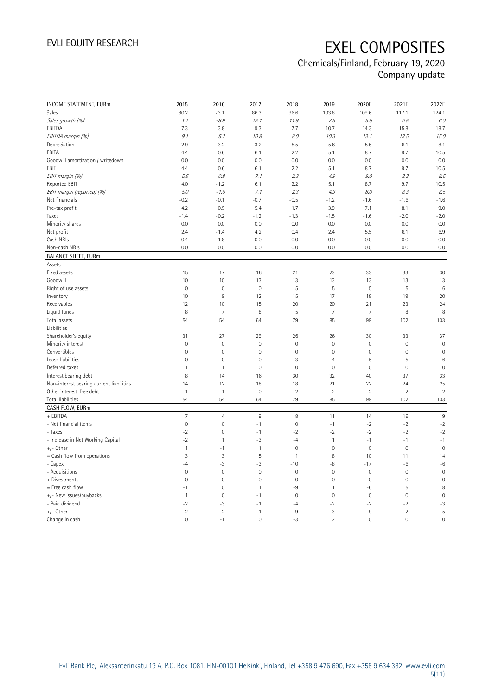| INCOME STATEMENT, EURm                   | 2015                | 2016                | 2017         | 2018           | 2019           | 2020E               | 2021E          | 2022E               |
|------------------------------------------|---------------------|---------------------|--------------|----------------|----------------|---------------------|----------------|---------------------|
| Sales                                    | 80.2                | 73.1                | 86.3         | 96.6           | 103.8          | 109.6               | 117.1          | 124.1               |
| Sales growth (%)                         | 1.1                 | $-8.9$              | 18.1         | 11.9           | 7.5            | $5.6\,$             | 6.8            | 6.0                 |
| EBITDA                                   | 7.3                 | 3.8                 | 9.3          | 7.7            | 10.7           | 14.3                | 15.8           | 18.7                |
| EBITDA margin (%)                        | 9.1                 | 5.2                 | 10.8         | 8.0            | 10.3           | 13.1                | 13.5           | 15.0                |
| Depreciation                             | $-2.9$              | $-3.2$              | $-3.2$       | $-5.5$         | $-5.6$         | $-5.6$              | $-6.1$         | $-8.1$              |
| EBITA                                    | 4.4                 | 0.6                 | 6.1          | 2.2            | 5.1            | 8.7                 | 9.7            | 10.5                |
| Goodwill amortization / writedown        | 0.0                 | 0.0                 | 0.0          | 0.0            | 0.0            | 0.0                 | 0.0            | 0.0                 |
| EBIT                                     | 4.4                 | 0.6                 | 6.1          | 2.2            | 5.1            | 8.7                 | 9.7            | 10.5                |
| EBIT margin (%)                          | 5.5                 | 0.8                 | 7.1          | 2.3            | 4.9            | 8.0                 | 8.3            | 8.5                 |
| Reported EBIT                            | 4.0                 | $-1.2$              | 6.1          | 2.2            | 5.1            | 8.7                 | 9.7            | 10.5                |
| EBIT margin (reported) (%)               | 5.0                 | $-1.6$              | 7.1          | 2.3            | $4.9\,$        | 8.0                 | 8.3            | 8.5                 |
| Net financials                           | $-0.2$              | $-0.1$              | $-0.7$       | $-0.5$         | $-1.2$         | $-1.6$              | $-1.6$         | $-1.6$              |
| Pre-tax profit                           | 4.2                 | 0.5                 | 5.4          | 1.7            | 3.9            | 7.1                 | 8.1            | 9.0                 |
| Taxes                                    | $-1.4$              | $-0.2$              | $-1.2$       | $-1.3$         | $-1.5$         | $-1.6$              | $-2.0$         | $-2.0$              |
| Minority shares                          | 0.0                 | 0.0                 | 0.0          | 0.0            | 0.0            | 0.0                 | 0.0            | 0.0                 |
| Net profit                               | 2.4                 | $-1.4$              | 4.2          | 0.4            | 2.4            | 5.5                 | 6.1            | 6.9                 |
| Cash NRIs                                | $-0.4$              | $-1.8$              | 0.0          | 0.0            | 0.0            | 0.0                 | 0.0            | 0.0                 |
| Non-cash NRIs                            | 0.0                 | 0.0                 | 0.0          | 0.0            | 0.0            | 0.0                 | 0.0            | 0.0                 |
| <b>BALANCE SHEET, EURm</b>               |                     |                     |              |                |                |                     |                |                     |
| Assets                                   |                     |                     |              |                |                |                     |                |                     |
| Fixed assets                             | 15                  | 17                  | 16           | 21             | 23             | 33                  | 33             | 30                  |
| Goodwill                                 | 10                  | 10                  | 13           | 13             | 13             | 13                  | 13             | 13                  |
| Right of use assets                      | $\mathbf 0$         | $\mathbf 0$         | $\mathbf 0$  | 5              | 5              | 5                   | 5              | $6\phantom{1}6$     |
| Inventory                                | 10                  | $9\,$               | 12           | 15             | 17             | 18                  | 19             | 20                  |
| Receivables                              | 12                  | 10                  | 15           | 20             | 20             | 21                  | 23             | 24                  |
| Liquid funds                             | 8                   | $\overline{7}$      | 8            | 5              | $\overline{7}$ | $\overline{7}$      | 8              | 8                   |
| Total assets                             | 54                  | 54                  | 64           | 79             | 85             | 99                  | 102            | 103                 |
| Liabilities                              |                     |                     |              |                |                |                     |                |                     |
| Shareholder's equity                     | 31                  | 27                  | 29           | 26             | 26             | 30                  | 33             | 37                  |
| Minority interest                        | $\overline{0}$      | $\mathbf 0$         | $\mathbf 0$  | $\mathbf 0$    | 0              | $\mathbf 0$         | $\mathbf 0$    | $\mathbf 0$         |
| Convertibles                             | $\mathsf{O}\xspace$ | $\mathbf 0$         | $\mathbf 0$  | $\mathbf 0$    | $\mathbf 0$    | $\mathsf{O}\xspace$ | $\mathbf 0$    | $\mathbf 0$         |
| Lease liabilities                        | $\overline{0}$      | $\mathbf 0$         | $\mathbf{0}$ | 3              | $\overline{4}$ | 5                   | 5              | $\,6\,$             |
| Deferred taxes                           | $\mathbf{1}$        | $\mathbf{1}$        | $\mathbf 0$  | $\mathbf 0$    | $\mathbf 0$    | $\mathsf{O}\xspace$ | $\mathbf 0$    | $\mathbf 0$         |
| Interest bearing debt                    | 8                   | 14                  | 16           | 30             | 32             | 40                  | 37             | 33                  |
| Non-interest bearing current liabilities | 14                  | 12                  | 18           | 18             | 21             | 22                  | 24             | 25                  |
| Other interest-free debt                 | $\mathbf{1}$        | $\mathbf{1}$        | $\mathbf 0$  | $\overline{2}$ | $\sqrt{2}$     | $\overline{2}$      | $\sqrt{2}$     | $\sqrt{2}$          |
| <b>Total liabilities</b>                 | 54                  | 54                  | 64           | 79             | 85             | 99                  | 102            | 103                 |
| CASH FLOW, EURm                          |                     |                     |              |                |                |                     |                |                     |
| + EBITDA                                 | $\overline{7}$      | $\overline{4}$      | $9\,$        | 8              | 11             | 14                  | 16             | 19                  |
| - Net financial items                    | $\mathsf{O}\xspace$ | $\mathsf{O}\xspace$ | $-1$         | $\mathbf 0$    | $-1$           | $-2$                | $-2$           | $-2$                |
| - Taxes                                  | $-2$                | $\mathbf 0$         | $-1$         | $-2$           | $-2$           | $-2$                | $-2$           | $-2$                |
| - Increase in Net Working Capital        | $-2$                | $\mathbf{1}$        | $-3$         | $-4$           | $\mathbf{1}$   | $-1$                | $-1$           | $-1$                |
| $+/-$ Other                              | $\mathbf{1}$        | $-1$                | $\mathbf{1}$ | $\mathbb O$    | $\mathbf 0$    | $\mathsf{O}\xspace$ | $\mathbf 0$    | $\mathsf{O}\xspace$ |
| = Cash flow from operations              | 3                   | 3                   | 5            | $\mathbf{1}$   | 8              | 10                  | 11             | 14                  |
| - Capex                                  | $-4$                | $-3$                | $-3$         | $-10$          | $-8$           | $-17$               | -6             | $-6$                |
| - Acquisitions                           | $\mathsf{O}\xspace$ | $\mathbf 0$         | $\mathbf 0$  | $\mathbf 0$    | 0              | $\mathbf 0$         | $\mathbf 0$    | $\mathbb O$         |
| + Divestments                            | $\mathsf{O}\xspace$ | $\mathbf 0$         | $\mathbf 0$  | $\mathbf 0$    | $\mathbf 0$    | $\mathbb O$         | $\mathbf 0$    | $\mathbf 0$         |
| = Free cash flow                         | $-1$                | $\mathbf 0$         | $\mathbf{1}$ | $-9$           | $\mathbf{1}$   | -6                  | $\sqrt{5}$     | $\, 8$              |
| +/- New issues/buybacks                  | $\mathbf{1}$        | $\mathbf 0$         | $-1$         | $\mathbf{0}$   | $\overline{0}$ | $\mathbf 0$         | $\mathbf 0$    | $\mathbf 0$         |
| - Paid dividend                          | $-2$                | $-3$                | $-1$         | $-4$           | $-2$           | $-2$                | $-2$           | $-3$                |
| $+/-$ Other                              | $\overline{2}$      | $\overline{2}$      | $\mathbf{1}$ | $\overline{9}$ | 3              | $9\,$               | $-2$           | $-5$                |
| Change in cash                           | $\Omega$            | $-1$                | $\mathbf 0$  | $-3$           | $\overline{2}$ | $\mathbf 0$         | $\overline{0}$ | $\overline{0}$      |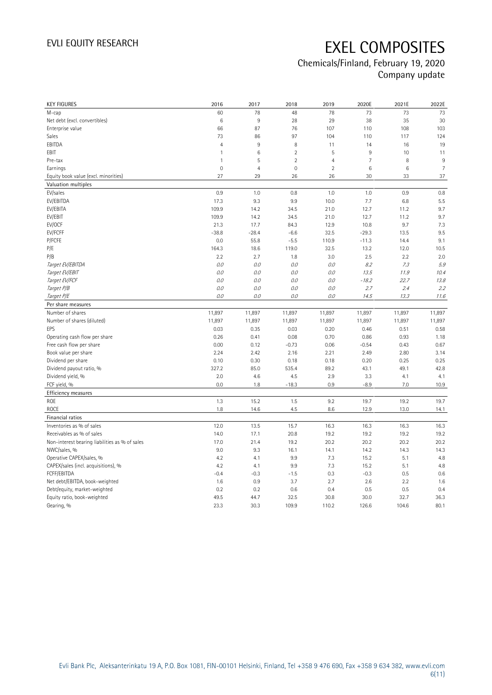| <b>KEY FIGURES</b>                                              | 2016           | 2017           | 2018           | 2019           | 2020E          | 2021E          | 2022E          |
|-----------------------------------------------------------------|----------------|----------------|----------------|----------------|----------------|----------------|----------------|
| M-cap                                                           | 60             | 78             | 48             | 78             | 73             | 73             | 73             |
| Net debt (excl. convertibles)                                   | 6              | $9\,$          | 28             | 29             | 38             | 35             | 30             |
| Enterprise value                                                | 66             | 87             | 76             | 107            | 110            | 108            | 103            |
| Sales                                                           | 73             | 86             | 97             | 104            | 110            | 117            | 124            |
| EBITDA                                                          | $\overline{4}$ | $9\,$          | 8              | 11             | 14             | 16             | 19             |
| EBIT                                                            | $\mathbf{1}$   | $\,6\,$        | $\overline{c}$ | 5              | $\,9$          | 10             | 11             |
| Pre-tax                                                         | $\mathbf{1}$   | 5              | $\overline{2}$ | $\overline{4}$ | $\overline{7}$ | 8              | 9              |
| Earnings                                                        | $\mathbf 0$    | $\overline{4}$ | $\mathbf 0$    | $\overline{2}$ | $\,6\,$        | $\,6\,$        | $\overline{7}$ |
| Equity book value (excl. minorities)                            | 27             | 29             | 26             | 26             | 30             | 33             | 37             |
| Valuation multiples                                             |                |                |                |                |                |                |                |
| EV/sales                                                        | 0.9            | 1.0            | 0.8            | 1.0            | 1.0            | 0.9            | 0.8            |
| EV/EBITDA                                                       | 17.3           | 9.3            | 9.9            | 10.0           | 7.7            | 6.8            | 5.5            |
| EV/EBITA                                                        | 109.9          | 14.2           | 34.5           | 21.0           | 12.7           | 11.2           | 9.7            |
| EV/EBIT                                                         | 109.9          | 14.2           | 34.5           | 21.0           | 12.7           | 11.2           | 9.7            |
| EV/OCF                                                          | 21.3           | 17.7           | 84.3           | 12.9           | 10.8           | 9.7            | 7.3            |
| EV/FCFF                                                         | $-38.8$        | $-28.4$        | $-6.6$         | 32.5           | $-29.3$        | 13.5           | 9.5            |
| P/FCFE                                                          | 0.0            | 55.8           | $-5.5$         | 110.9          | $-11.3$        | 14.4           | 9.1            |
| P/E                                                             | 164.3          | 18.6           | 119.0          | 32.5           | 13.2           | 12.0           | 10.5           |
| P/B                                                             | 2.2            | 2.7            | 1.8            | 3.0            | 2.5            | 2.2            | 2.0            |
| Target EV/EBITDA                                                | 0.0            | 0.0            | 0.0            | 0.0            | 8.2            | 7.3            | 5.9            |
| Target EV/EBIT                                                  | 0.0            | $O.O$          | 0.0            | $0.0\,$        | 13.5           | 11.9           | 10.4           |
| Target EV/FCF                                                   | 0.0            | 0.0            | 0.0            | 0.0            | $-18.2$        | 22.7           | 13.8           |
| Target P/B                                                      | 0.0            | 0.0            | 0.0            | 0.0            | 2.7            | 2.4            | 2.2            |
| Target P/E                                                      | 0.0            | 0.0            | 0.0            | 0.0            | 14.5           | 13.3           | 11.6           |
| Per share measures                                              |                |                |                |                |                |                |                |
|                                                                 |                |                |                |                |                |                |                |
| Number of shares                                                | 11,897         | 11,897         | 11,897         | 11,897         | 11,897         | 11,897         | 11,897         |
| Number of shares (diluted)                                      | 11,897         |                | 11,897         |                | 11,897         |                | 11,897         |
| EPS                                                             | 0.03           | 11,897<br>0.35 | 0.03           | 11,897<br>0.20 | 0.46           | 11,897<br>0.51 | 0.58           |
| Operating cash flow per share                                   | 0.26           | 0.41           | 0.08           | 0.70           | 0.86           | 0.93           | 1.18           |
| Free cash flow per share                                        | 0.00           | 0.12           | $-0.73$        | 0.06           | $-0.54$        | 0.43           | 0.67           |
| Book value per share                                            | 2.24           | 2.42           | 2.16           | 2.21           | 2.49           | 2.80           | 3.14           |
| Dividend per share                                              | 0.10           | 0.30           | 0.18           | 0.18           | 0.20           | 0.25           | 0.25           |
| Dividend payout ratio, %                                        | 327.2          | 85.0           | 535.4          | 89.2           | 43.1           | 49.1           | 42.8           |
| Dividend yield, %                                               | 2.0            | 4.6            | 4.5            | 2.9            | 3.3            | 4.1            | 4.1            |
| FCF yield, %                                                    | 0.0            | 1.8            | $-18.3$        | 0.9            | $-8.9$         | 7.0            | 10.9           |
|                                                                 |                |                |                |                |                |                |                |
| Efficiency measures<br><b>ROE</b>                               | 1.3            | 15.2           | 1.5            | 9.2            | 19.7           | 19.2           | 19.7           |
| <b>ROCE</b>                                                     | 1.8            | 14.6           | 4.5            | 8.6            | 12.9           | 13.0           | 14.1           |
| Financial ratios                                                |                |                |                |                |                |                |                |
| Inventories as % of sales                                       | 12.0           | 13.5           | 15.7           | 16.3           | 16.3           | 16.3           | 16.3           |
| Receivables as % of sales                                       | 14.0           | 17.1           | 20.8           | 19.2           | 19.2           | 19.2           | 19.2           |
| Non-interest bearing liabilities as % of sales                  | 17.0           |                | 19.2           | 20.2           | 20.2           | 20.2           | 20.2           |
| NWC/sales, %                                                    | 9.0            | 21.4<br>9.3    | 16.1           | 14.1           | 14.2           | 14.3           | 14.3           |
|                                                                 | 4.2            | 4.1            | 9.9            | 7.3            | 15.2           | 5.1            | 4.8            |
| Operative CAPEX/sales, %<br>CAPEX/sales (incl. acquisitions), % | 4.2            | 4.1            | 9.9            | 7.3            | 15.2           | 5.1            | 4.8            |
| FCFF/EBITDA                                                     | $-0.4$         | $-0.3$         | $-1.5$         | 0.3            | $-0.3$         | 0.5            | 0.6            |
| Net debt/EBITDA, book-weighted                                  | 1.6            | 0.9            | 3.7            | 2.7            | 2.6            | 2.2            | 1.6            |
| Debt/equity, market-weighted                                    | 0.2            | 0.2            | 0.6            | 0.4            | 0.5            | 0.5            | 0.4            |
| Equity ratio, book-weighted                                     | 49.5           | 44.7           | 32.5           | 30.8           | 30.0           | 32.7           | 36.3           |
| Gearing, %                                                      | 23.3           | 30.3           | 109.9          | 110.2          | 126.6          | 104.6          | 80.1           |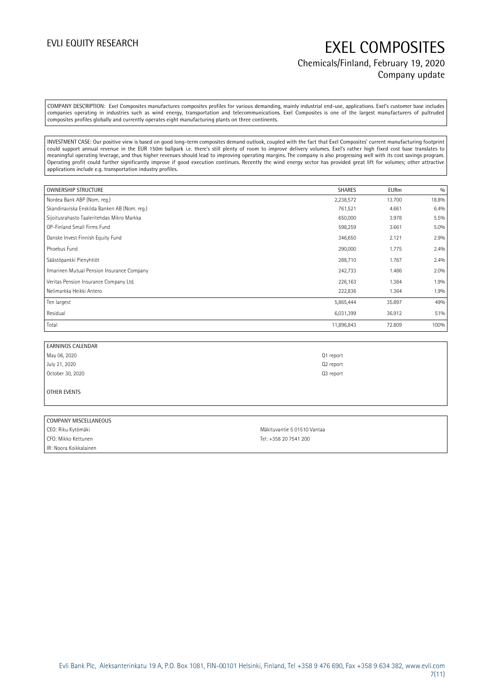## EVLI EQUITY RESEARCH EXEL COMPOSITES Chemicals/Finland, February 19, 2020 Company update

COMPANY DESCRIPTION: Exel Composites manufactures composites profiles for various demanding, mainly industrial end-use, applications. Exel's customer base includes companies operating in industries such as wind energy, transportation and telecommunications. Exel Composites is one of the largest manufacturers of pultruded composites profiles globally and currently operates eight manufacturing plants on three continents.

INVESTMENT CASE: Our positive view is based on good long-term composites demand outlook, coupled with the fact that Exel Composites' current manufacturing footprint could support annual revenue in the EUR 150m ballpark i.e. there's still plenty of room to improve delivery volumes. Exel's rather high fixed cost base translates to meaningful operating leverage, and thus higher revenues should lead to improving operating margins. The company is also progressing well with its cost savings program. Operating profit could further significantly improve if good execution continues. Recently the wind energy sector has provided great lift for volumes; other attractive applications include e.g. transportation industry profiles.

| <b>OWNERSHIP STRUCTURE</b>                   | <b>SHARES</b> | <b>EURm</b> | 0/0     |
|----------------------------------------------|---------------|-------------|---------|
| Nordea Bank ABP (Nom. reg.)                  | 2,238,572     | 13.700      | 18.8%   |
| Skandinaviska Enskilda Banken AB (Nom. reg.) | 761,521       | 4.661       | 6.4%    |
| Sijoitusrahasto Taaleritehdas Mikro Markka   | 650,000       | 3.978       | 5.5%    |
| OP-Finland Small Firms Fund                  | 598,259       | 3.661       | $5.0\%$ |
| Danske Invest Finnish Equity Fund            | 346,650       | 2.121       | 2.9%    |
| Phoebus Fund                                 | 290,000       | 1.775       | 2.4%    |
| Säästöpankki Pienyhtiöt                      | 288,710       | 1.767       | 2.4%    |
| Ilmarinen Mutual Pension Insurance Company   | 242,733       | 1.486       | 2.0%    |
| Veritas Pension Insurance Company Ltd.       | 226,163       | 1.384       | 1.9%    |
| Nelimarkka Heikki Antero                     | 222,836       | 1.364       | 1.9%    |
| Ten largest                                  | 5,865,444     | 35.897      | 49%     |
| Residual                                     | 6,031,399     | 36.912      | 51%     |
| Total                                        | 11,896,843    | 72.809      | 100%    |

| <b>EARNINGS CALENDAR</b> |                       |
|--------------------------|-----------------------|
| May 06, 2020             | Q1 report             |
| July 21, 2020            | Q <sub>2</sub> report |
| October 30, 2020         | Q <sub>3</sub> report |
|                          |                       |

### OTHER EVENTS

### COMPANY MISCELLANEOUS

CEO: Riku Kytömäki Mäkituvantie 5 01510 Vantaa CFO: Mikko Kettunen Tel: +358 20 7541 200 IR: Noora Koikkalainen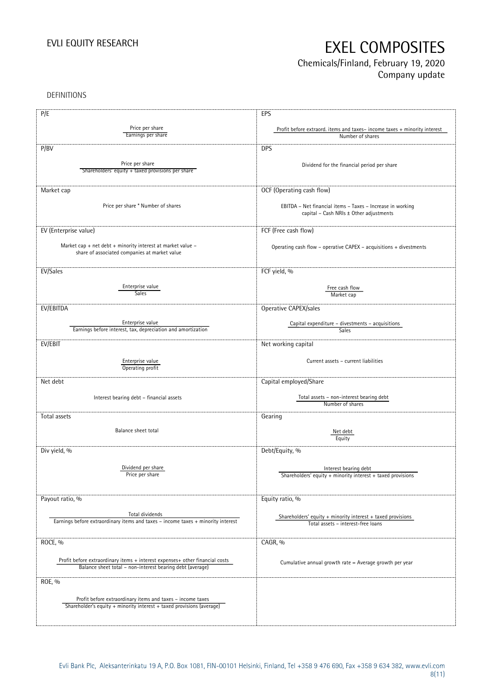## Chemicals/Finland, February 19, 2020 Company update

DEFINITIONS

| P/E                                                                              | EPS                                                                      |
|----------------------------------------------------------------------------------|--------------------------------------------------------------------------|
|                                                                                  |                                                                          |
| Price per share                                                                  | Profit before extraord. items and taxes-income taxes + minority interest |
| Earnings per share                                                               | Number of shares                                                         |
| P/BV                                                                             | <b>DPS</b>                                                               |
| Price per share                                                                  |                                                                          |
| Shareholders' equity + taxed provisions per share                                | Dividend for the financial period per share                              |
|                                                                                  |                                                                          |
|                                                                                  |                                                                          |
| Market cap                                                                       | OCF (Operating cash flow)                                                |
|                                                                                  |                                                                          |
| Price per share * Number of shares                                               | EBITDA - Net financial items - Taxes - Increase in working               |
|                                                                                  | capital - Cash NRIs ± Other adjustments                                  |
|                                                                                  |                                                                          |
| EV (Enterprise value)                                                            | FCF (Free cash flow)                                                     |
|                                                                                  |                                                                          |
| Market cap + net debt + minority interest at market value -                      | Operating cash flow - operative CAPEX - acquisitions + divestments       |
| share of associated companies at market value                                    |                                                                          |
|                                                                                  |                                                                          |
| EV/Sales                                                                         | FCF yield, %                                                             |
|                                                                                  |                                                                          |
| Enterprise value                                                                 | Free cash flow                                                           |
| <b>Sales</b>                                                                     | Market cap                                                               |
|                                                                                  |                                                                          |
| EV/EBITDA                                                                        | Operative CAPEX/sales                                                    |
| Enterprise value                                                                 | Capital expenditure - divestments - acquisitions                         |
| Earnings before interest, tax, depreciation and amortization                     | Sales                                                                    |
|                                                                                  |                                                                          |
| EV/EBIT                                                                          | Net working capital                                                      |
|                                                                                  |                                                                          |
| Enterprise value                                                                 | Current assets - current liabilities                                     |
| Operating profit                                                                 |                                                                          |
| Net debt                                                                         | Capital employed/Share                                                   |
|                                                                                  |                                                                          |
|                                                                                  | Total assets - non-interest bearing debt                                 |
| Interest bearing debt - financial assets                                         | Number of shares                                                         |
|                                                                                  |                                                                          |
| Total assets                                                                     | Gearing                                                                  |
| Balance sheet total                                                              |                                                                          |
|                                                                                  | Net debt<br>Equity                                                       |
|                                                                                  |                                                                          |
| Div yield, %                                                                     | Debt/Equity, %                                                           |
|                                                                                  |                                                                          |
| Dividend per share                                                               | Interest bearing debt                                                    |
| Price per share                                                                  | Shareholders' equity $+$ minority interest $+$ taxed provisions          |
|                                                                                  |                                                                          |
|                                                                                  |                                                                          |
| Payout ratio, %                                                                  | Equity ratio, %                                                          |
|                                                                                  |                                                                          |
| Total dividends                                                                  | Shareholders' equity $+$ minority interest $+$ taxed provisions          |
| Earnings before extraordinary items and taxes - income taxes + minority interest | Total assets - interest-free loans                                       |
|                                                                                  |                                                                          |
| ROCE, %                                                                          | CAGR, %                                                                  |
|                                                                                  |                                                                          |
| Profit before extraordinary items + interest expenses+ other financial costs     |                                                                          |
| Balance sheet total - non-interest bearing debt (average)                        | Cumulative annual growth rate = Average growth per year                  |
|                                                                                  |                                                                          |
| ROE, %                                                                           |                                                                          |
|                                                                                  |                                                                          |
| Profit before extraordinary items and taxes - income taxes                       |                                                                          |
| Shareholder's equity + minority interest + taxed provisions (average)            |                                                                          |
|                                                                                  |                                                                          |
|                                                                                  |                                                                          |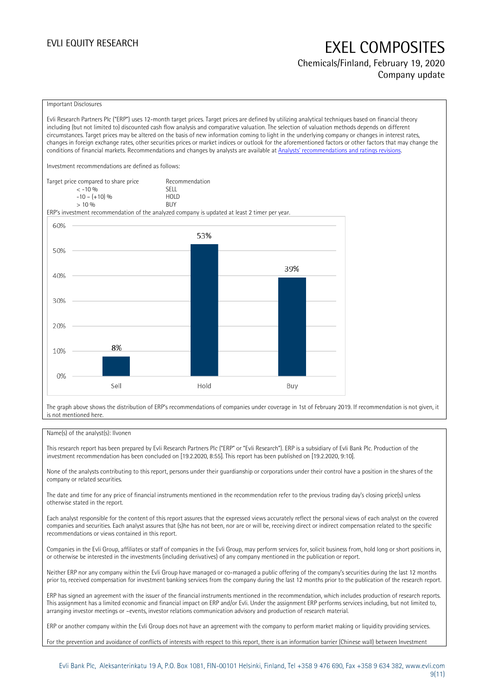Chemicals/Finland, February 19, 2020 Company update

### Important Disclosures

Evli Research Partners Plc ("ERP") uses 12-month target prices. Target prices are defined by utilizing analytical techniques based on financial theory including (but not limited to) discounted cash flow analysis and comparative valuation. The selection of valuation methods depends on different circumstances. Target prices may be altered on the basis of new information coming to light in the underlying company or changes in interest rates, changes in foreign exchange rates, other securities prices or market indices or outlook for the aforementioned factors or other factors that may change the conditions of financial markets. Recommendations and changes by analysts are available at [Analysts' recommendations and ratings revisions](https://research.evli.com/JasperAllModels.action?authParam=key;461&authParam=x;G3rNagWrtf7K&authType=3).

Investment recommendations are defined as follows:

| Target price compared to share price | Recommendation |
|--------------------------------------|----------------|
| $<-10.96$                            | <b>SFII</b>    |
| $-10 - (+10)$ %                      | HOI D          |
| > 10%                                | <b>BUY</b>     |

ERP's investment recommendation of the analyzed company is updated at least 2 timer per year.



The graph above shows the distribution of ERP's recommendations of companies under coverage in 1st of February 2019. If recommendation is not given, it is not mentioned here.

### Name(s) of the analyst(s): Ilvonen

This research report has been prepared by Evli Research Partners Plc ("ERP" or "Evli Research"). ERP is a subsidiary of Evli Bank Plc. Production of the investment recommendation has been concluded on [19.2.2020, 8:55]. This report has been published on [19.2.2020, 9:10].

None of the analysts contributing to this report, persons under their guardianship or corporations under their control have a position in the shares of the company or related securities.

The date and time for any price of financial instruments mentioned in the recommendation refer to the previous trading day's closing price(s) unless otherwise stated in the report.

Each analyst responsible for the content of this report assures that the expressed views accurately reflect the personal views of each analyst on the covered companies and securities. Each analyst assures that (s)he has not been, nor are or will be, receiving direct or indirect compensation related to the specific recommendations or views contained in this report.

Companies in the Evli Group, affiliates or staff of companies in the Evli Group, may perform services for, solicit business from, hold long or short positions in, or otherwise be interested in the investments (including derivatives) of any company mentioned in the publication or report.

Neither ERP nor any company within the Evli Group have managed or co-managed a public offering of the company's securities during the last 12 months prior to, received compensation for investment banking services from the company during the last 12 months prior to the publication of the research report.

ERP has signed an agreement with the issuer of the financial instruments mentioned in the recommendation, which includes production of research reports. This assignment has a limited economic and financial impact on ERP and/or Evli. Under the assignment ERP performs services including, but not limited to, arranging investor meetings or –events, investor relations communication advisory and production of research material.

ERP or another company within the Evli Group does not have an agreement with the company to perform market making or liquidity providing services.

For the prevention and avoidance of conflicts of interests with respect to this report, there is an information barrier (Chinese wall) between Investment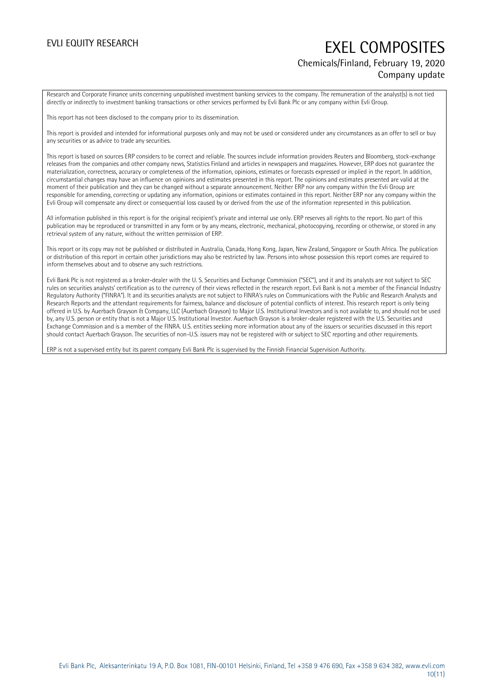## EVLI EQUITY RESEARCH EXEL COMPOSITES Chemicals/Finland, February 19, 2020 Company update

Research and Corporate Finance units concerning unpublished investment banking services to the company. The remuneration of the analyst(s) is not tied directly or indirectly to investment banking transactions or other services performed by Evli Bank Plc or any company within Evli Group.

This report has not been disclosed to the company prior to its dissemination.

This report is provided and intended for informational purposes only and may not be used or considered under any circumstances as an offer to sell or buy any securities or as advice to trade any securities.

This report is based on sources ERP considers to be correct and reliable. The sources include information providers Reuters and Bloomberg, stock-exchange releases from the companies and other company news, Statistics Finland and articles in newspapers and magazines. However, ERP does not guarantee the materialization, correctness, accuracy or completeness of the information, opinions, estimates or forecasts expressed or implied in the report. In addition, circumstantial changes may have an influence on opinions and estimates presented in this report. The opinions and estimates presented are valid at the moment of their publication and they can be changed without a separate announcement. Neither ERP nor any company within the Evli Group are responsible for amending, correcting or updating any information, opinions or estimates contained in this report. Neither ERP nor any company within the Evli Group will compensate any direct or consequential loss caused by or derived from the use of the information represented in this publication.

All information published in this report is for the original recipient's private and internal use only. ERP reserves all rights to the report. No part of this publication may be reproduced or transmitted in any form or by any means, electronic, mechanical, photocopying, recording or otherwise, or stored in any retrieval system of any nature, without the written permission of ERP.

This report or its copy may not be published or distributed in Australia, Canada, Hong Kong, Japan, New Zealand, Singapore or South Africa. The publication or distribution of this report in certain other jurisdictions may also be restricted by law. Persons into whose possession this report comes are required to inform themselves about and to observe any such restrictions.

Evli Bank Plc is not registered as a broker-dealer with the U. S. Securities and Exchange Commission ("SEC"), and it and its analysts are not subject to SEC rules on securities analysts' certification as to the currency of their views reflected in the research report. Evli Bank is not a member of the Financial Industry Regulatory Authority ("FINRA"). It and its securities analysts are not subject to FINRA's rules on Communications with the Public and Research Analysts and Research Reports and the attendant requirements for fairness, balance and disclosure of potential conflicts of interest. This research report is only being offered in U.S. by Auerbach Grayson & Company, LLC (Auerbach Grayson) to Major U.S. Institutional Investors and is not available to, and should not be used by, any U.S. person or entity that is not a Major U.S. Institutional Investor. Auerbach Grayson is a broker-dealer registered with the U.S. Securities and Exchange Commission and is a member of the FINRA. U.S. entities seeking more information about any of the issuers or securities discussed in this report should contact Auerbach Grayson. The securities of non-U.S. issuers may not be registered with or subject to SEC reporting and other requirements.

ERP is not a supervised entity but its parent company Evli Bank Plc is supervised by the Finnish Financial Supervision Authority.